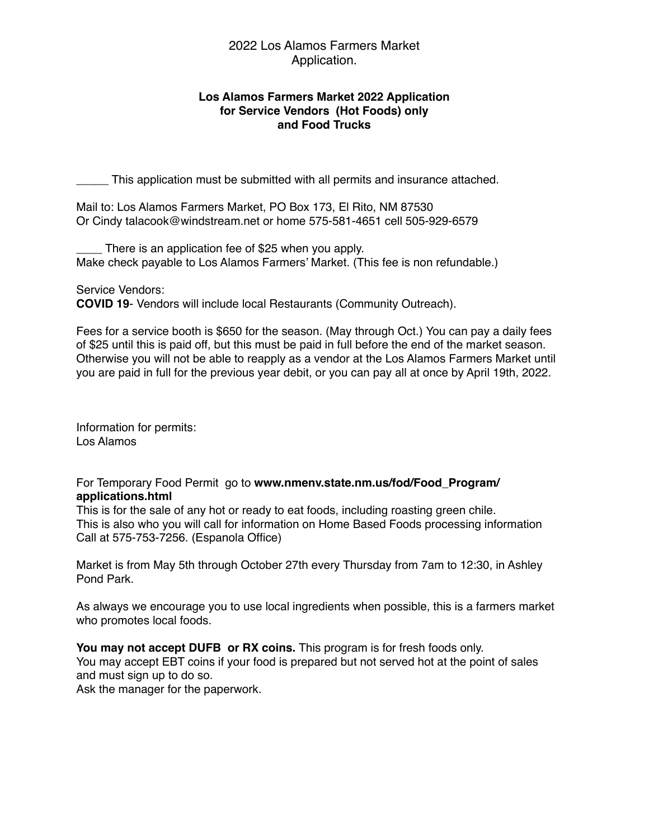## 2022 Los Alamos Farmers Market Application.

### **Los Alamos Farmers Market 2022 Application for Service Vendors (Hot Foods) only and Food Trucks**

\_\_\_\_\_ This application must be submitted with all permits and insurance attached.

Mail to: Los Alamos Farmers Market, PO Box 173, El Rito, NM 87530 Or Cindy talacook@windstream.net or home 575-581-4651 cell 505-929-6579

There is an application fee of \$25 when you apply. Make check payable to Los Alamos Farmers' Market. (This fee is non refundable.)

Service Vendors:

**COVID 19**- Vendors will include local Restaurants (Community Outreach).

Fees for a service booth is \$650 for the season. (May through Oct.) You can pay a daily fees of \$25 until this is paid off, but this must be paid in full before the end of the market season. Otherwise you will not be able to reapply as a vendor at the Los Alamos Farmers Market until you are paid in full for the previous year debit, or you can pay all at once by April 19th, 2022.

Information for permits: Los Alamos

### For Temporary Food Permit go to **www.nmenv.state.nm.us/fod/Food\_Program/ applications.html**

This is for the sale of any hot or ready to eat foods, including roasting green chile. This is also who you will call for information on Home Based Foods processing information Call at 575-753-7256. (Espanola Office)

Market is from May 5th through October 27th every Thursday from 7am to 12:30, in Ashley Pond Park.

As always we encourage you to use local ingredients when possible, this is a farmers market who promotes local foods.

**You may not accept DUFB or RX coins.** This program is for fresh foods only.

You may accept EBT coins if your food is prepared but not served hot at the point of sales and must sign up to do so.

Ask the manager for the paperwork.